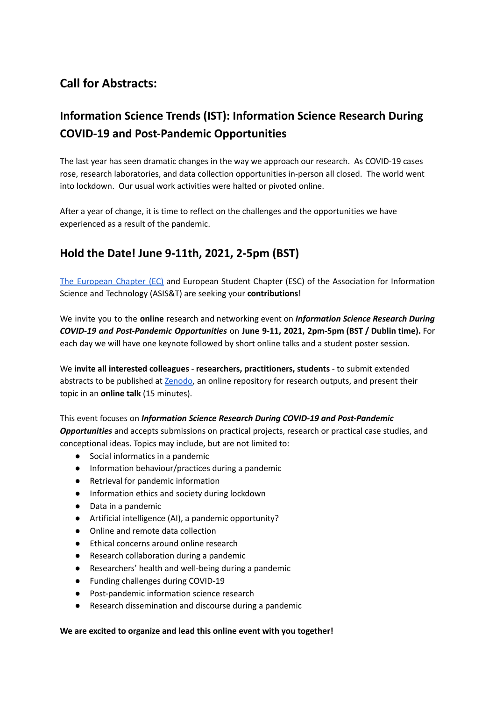# **Call for Abstracts:**

# **Information Science Trends (IST): Information Science Research During COVID-19 and Post-Pandemic Opportunities**

The last year has seen dramatic changes in the way we approach our research. As COVID-19 cases rose, research laboratories, and data collection opportunities in-person all closed. The world went into lockdown. Our usual work activities were halted or pivoted online.

After a year of change, it is time to reflect on the challenges and the opportunities we have experienced as a result of the pandemic.

## **Hold the Date! June 9-11th, 2021, 2-5pm (BST)**

The [European](https://www.asist.org/chapters/europe/) Chapter (EC) and European Student Chapter (ESC) of the Association for Information Science and Technology (ASIS&T) are seeking your **contributions**!

We invite you to the **online** research and networking event on *Information Science Research During COVID-19 and Post-Pandemic Opportunities* on **June 9-11, 2021, 2pm-5pm (BST / Dublin time).** For each day we will have one keynote followed by short online talks and a student poster session.

We **invite all interested colleagues** - **researchers, practitioners, students** - to submit extended abstracts to be published at [Zenodo,](https://zenodo.org/communities/information_science_trends/?page=1&size=20) an online repository for research outputs, and present their topic in an **online talk** (15 minutes).

This event focuses on *Information Science Research During COVID-19 and Post-Pandemic Opportunities* and accepts submissions on practical projects, research or practical case studies, and conceptional ideas. Topics may include, but are not limited to:

- Social informatics in a pandemic
- Information behaviour/practices during a pandemic
- Retrieval for pandemic information
- Information ethics and society during lockdown
- Data in a pandemic
- Artificial intelligence (AI), a pandemic opportunity?
- Online and remote data collection
- Ethical concerns around online research
- Research collaboration during a pandemic
- Researchers' health and well-being during a pandemic
- Funding challenges during COVID-19
- Post-pandemic information science research
- Research dissemination and discourse during a pandemic

#### **We are excited to organize and lead this online event with you together!**